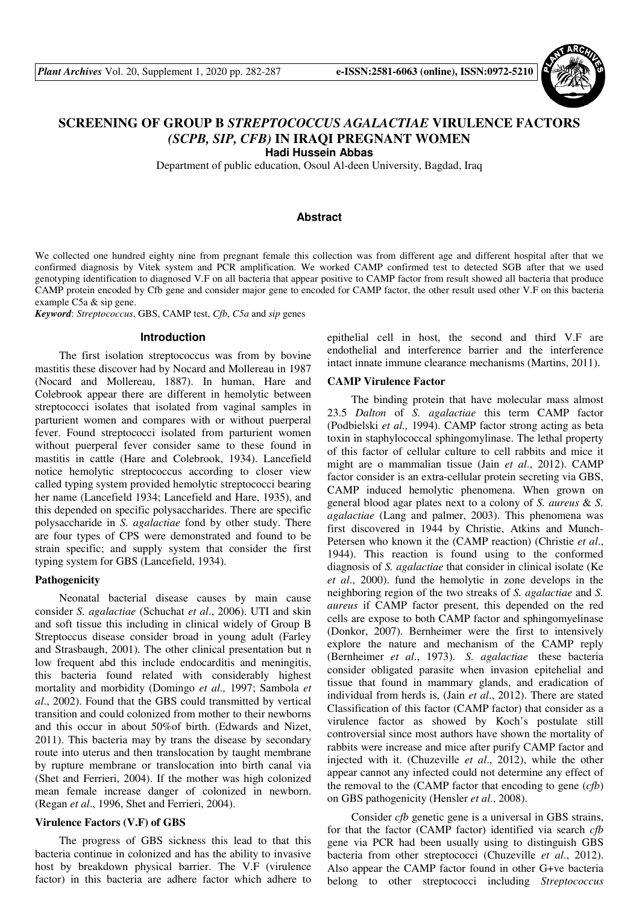

# **SCREENING OF GROUP B** *STREPTOCOCCUS AGALACTIAE* **VIRULENCE FACTORS**  *(SCPB, SIP, CFB)* **IN IRAQI PREGNANT WOMEN**

**Hadi Hussein Abbas** 

Department of public education, Osoul Al-deen University, Bagdad, Iraq

## **Abstract**

We collected one hundred eighty nine from pregnant female this collection was from different age and different hospital after that we confirmed diagnosis by Vitek system and PCR amplification. We worked CAMP confirmed test to detected SGB after that we used genotyping identification to diagnosed V.F on all bacteria that appear positive to CAMP factor from result showed all bacteria that produce CAMP protein encoded by Cfb gene and consider major gene to encoded for CAMP factor, the other result used other V.F on this bacteria example C5a & sip gene.

*Keyword*: *Streptococcus*, GBS, CAMP test, *Cfb*, *C5a* and *sip* genes

#### **Introduction**

The first isolation streptococcus was from by bovine mastitis these discover had by Nocard and Mollereau in 1987 (Nocard and Mollereau, 1887). In human, Hare and Colebrook appear there are different in hemolytic between streptococci isolates that isolated from vaginal samples in parturient women and compares with or without puerperal fever. Found streptococci isolated from parturient women without puerperal fever consider same to these found in mastitis in cattle (Hare and Colebrook, 1934). Lancefield notice hemolytic streptococcus according to closer view called typing system provided hemolytic streptococci bearing her name (Lancefield 1934; Lancefield and Hare, 1935), and this depended on specific polysaccharides. There are specific polysaccharide in *S. agalactiae* fond by other study. There are four types of CPS were demonstrated and found to be strain specific; and supply system that consider the first typing system for GBS (Lancefield, 1934).

#### **Pathogenicity**

Neonatal bacterial disease causes by main cause consider *S. agalactiae* (Schuchat *et al*., 2006). UTI and skin and soft tissue this including in clinical widely of Group B Streptoccus disease consider broad in young adult (Farley and Strasbaugh, 2001). The other clinical presentation but n low frequent abd this include endocarditis and meningitis, this bacteria found related with considerably highest mortality and morbidity (Domingo *et al.,* 1997; Sambola *et al*., 2002). Found that the GBS could transmitted by vertical transition and could colonized from mother to their newborns and this occur in about 50%of birth. (Edwards and Nizet, 2011). This bacteria may by trans the disease by secondary route into uterus and then translocation by taught membrane by rupture membrane or translocation into birth canal via (Shet and Ferrieri, 2004). If the mother was high colonized mean female increase danger of colonized in newborn. (Regan *et al*., 1996, Shet and Ferrieri, 2004).

### **Virulence Factors (V.F) of GBS**

The progress of GBS sickness this lead to that this bacteria continue in colonized and has the ability to invasive host by breakdown physical barrier. The V.F (virulence factor) in this bacteria are adhere factor which adhere to epithelial cell in host, the second and third V.F are endothelial and interference barrier and the interference intact innate immune clearance mechanisms (Martins, 2011).

### **CAMP Virulence Factor**

The binding protein that have molecular mass almost 23.5 *Dalton* of *S. agalactiae* this term CAMP factor (Podbielski *et al.,* 1994). CAMP factor strong acting as beta toxin in staphylococcal sphingomylinase. The lethal property of this factor of cellular culture to cell rabbits and mice it might are o mammalian tissue (Jain *et al*., 2012). CAMP factor consider is an extra-cellular protein secreting via GBS, CAMP induced hemolytic phenomena. When grown on general blood agar plates next to a colony of *S. aureus* & *S. agalactiae* (Lang and palmer, 2003). This phenomena was first discovered in 1944 by Christie, Atkins and Munch-Petersen who known it the (CAMP reaction) (Christie *et al*., 1944). This reaction is found using to the conformed diagnosis of *S. agalactiae* that consider in clinical isolate (Ke *et al*., 2000). fund the hemolytic in zone develops in the neighboring region of the two streaks of *S. agalactiae* and *S. aureus* if CAMP factor present, this depended on the red cells are expose to both CAMP factor and sphingomyelinase (Donkor, 2007). Bernheimer were the first to intensively explore the nature and mechanism of the CAMP reply (Bernheimer *et al.*, 1973). *S. agalactiae* these bacteria consider obligated parasite when invasion epitehelial and tissue that found in mammary glands, and eradication of individual from herds is, (Jain *et al*., 2012). There are stated Classification of this factor (CAMP factor) that consider as a virulence factor as showed by Koch's postulate still controversial since most authors have shown the mortality of rabbits were increase and mice after purify CAMP factor and injected with it. (Chuzeville *et al*., 2012), while the other appear cannot any infected could not determine any effect of the removal to the (CAMP factor that encoding to gene (*cfb*) on GBS pathogenicity (Hensler *et al*., 2008).

Consider *cfb* genetic gene is a universal in GBS strains, for that the factor (CAMP factor) identified via search *cfb* gene via PCR had been usually using to distinguish GBS bacteria from other streptococci (Chuzeville *et al*., 2012). Also appear the CAMP factor found in other G+ve bacteria belong to other streptococci including *Streptococcus*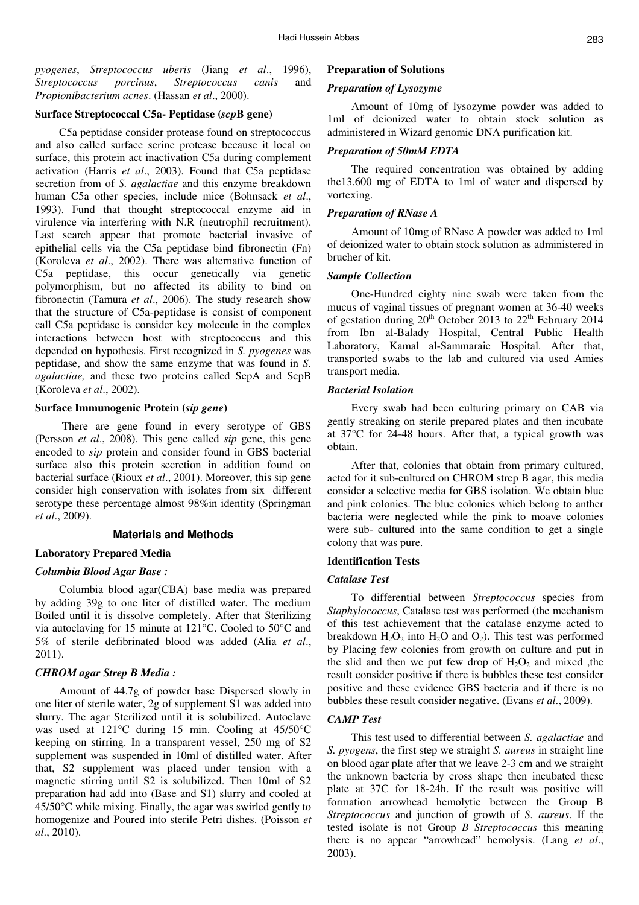*pyogenes*, *Streptococcus uberis* (Jiang *et al*., 1996), *Streptococcus porcinus*, *Streptococcus canis* and *Propionibacterium acnes*. (Hassan *et al*., 2000).

# **Surface Streptococcal C5a- Peptidase (***scp***B gene)**

C5a peptidase consider protease found on streptococcus and also called surface serine protease because it local on surface, this protein act inactivation C5a during complement activation (Harris *et al*., 2003). Found that C5a peptidase secretion from of *S. agalactiae* and this enzyme breakdown human C5a other species, include mice (Bohnsack *et al*., 1993). Fund that thought streptococcal enzyme aid in virulence via interfering with N.R (neutrophil recruitment). Last search appear that promote bacterial invasive of epithelial cells via the C5a peptidase bind fibronectin (Fn) (Koroleva *et al*., 2002). There was alternative function of C5a peptidase, this occur genetically via genetic polymorphism, but no affected its ability to bind on fibronectin (Tamura *et al*., 2006). The study research show that the structure of C5a-peptidase is consist of component call C5a peptidase is consider key molecule in the complex interactions between host with streptococcus and this depended on hypothesis. First recognized in *S. pyogenes* was peptidase, and show the same enzyme that was found in *S. agalactiae,* and these two proteins called ScpA and ScpB (Koroleva *et al*., 2002).

### **Surface Immunogenic Protein (***sip gene***)**

 There are gene found in every serotype of GBS (Persson *et al*., 2008). This gene called *sip* gene, this gene encoded to *sip* protein and consider found in GBS bacterial surface also this protein secretion in addition found on bacterial surface (Rioux *et al*., 2001). Moreover, this sip gene consider high conservation with isolates from six different serotype these percentage almost 98%in identity (Springman *et al*., 2009).

# **Materials and Methods**

### **Laboratory Prepared Media**

#### *Columbia Blood Agar Base :*

Columbia blood agar(CBA) base media was prepared by adding 39g to one liter of distilled water. The medium Boiled until it is dissolve completely. After that Sterilizing via autoclaving for 15 minute at 121°C. Cooled to 50°C and 5% of sterile defibrinated blood was added (Alia *et al*., 2011).

### *CHROM agar Strep B Media :*

Amount of 44.7g of powder base Dispersed slowly in one liter of sterile water, 2g of supplement S1 was added into slurry. The agar Sterilized until it is solubilized. Autoclave was used at 121°C during 15 min. Cooling at 45/50°C keeping on stirring. In a transparent vessel, 250 mg of S2 supplement was suspended in 10ml of distilled water. After that, S2 supplement was placed under tension with a magnetic stirring until S2 is solubilized. Then 10ml of S2 preparation had add into (Base and S1) slurry and cooled at 45/50°C while mixing. Finally, the agar was swirled gently to homogenize and Poured into sterile Petri dishes. (Poisson *et al*., 2010).

### **Preparation of Solutions**

#### *Preparation of Lysozyme*

Amount of 10mg of lysozyme powder was added to 1ml of deionized water to obtain stock solution as administered in Wizard genomic DNA purification kit.

#### *Preparation of 50mM EDTA*

The required concentration was obtained by adding the13.600 mg of EDTA to 1ml of water and dispersed by vortexing.

### *Preparation of RNase A*

Amount of 10mg of RNase A powder was added to 1ml of deionized water to obtain stock solution as administered in brucher of kit.

#### *Sample Collection*

One-Hundred eighty nine swab were taken from the mucus of vaginal tissues of pregnant women at 36-40 weeks of gestation during 20<sup>th</sup> October 2013 to 22<sup>th</sup> February 2014 from Ibn al-Balady Hospital, Central Public Health Laboratory, Kamal al-Sammaraie Hospital. After that, transported swabs to the lab and cultured via used Amies transport media.

### *Bacterial Isolation*

Every swab had been culturing primary on CAB via gently streaking on sterile prepared plates and then incubate at 37°C for 24-48 hours. After that, a typical growth was obtain.

After that, colonies that obtain from primary cultured, acted for it sub-cultured on CHROM strep B agar, this media consider a selective media for GBS isolation. We obtain blue and pink colonies. The blue colonies which belong to anther bacteria were neglected while the pink to moave colonies were sub- cultured into the same condition to get a single colony that was pure.

### **Identification Tests**

#### *Catalase Test*

To differential between *Streptococcus* species from *Staphylococcus*, Catalase test was performed (the mechanism of this test achievement that the catalase enzyme acted to breakdown  $H_2O_2$  into  $H_2O$  and  $O_2$ ). This test was performed by Placing few colonies from growth on culture and put in the slid and then we put few drop of  $H_2O_2$  and mixed ,the result consider positive if there is bubbles these test consider positive and these evidence GBS bacteria and if there is no bubbles these result consider negative. (Evans *et al*., 2009).

### *CAMP Test*

This test used to differential between *S. agalactiae* and *S. pyogens*, the first step we straight *S. aureus* in straight line on blood agar plate after that we leave 2-3 cm and we straight the unknown bacteria by cross shape then incubated these plate at 37C for 18-24h. If the result was positive will formation arrowhead hemolytic between the Group B *Streptococcus* and junction of growth of *S. aureus*. If the tested isolate is not Group *B Streptococcus* this meaning there is no appear "arrowhead" hemolysis. (Lang *et al*., 2003).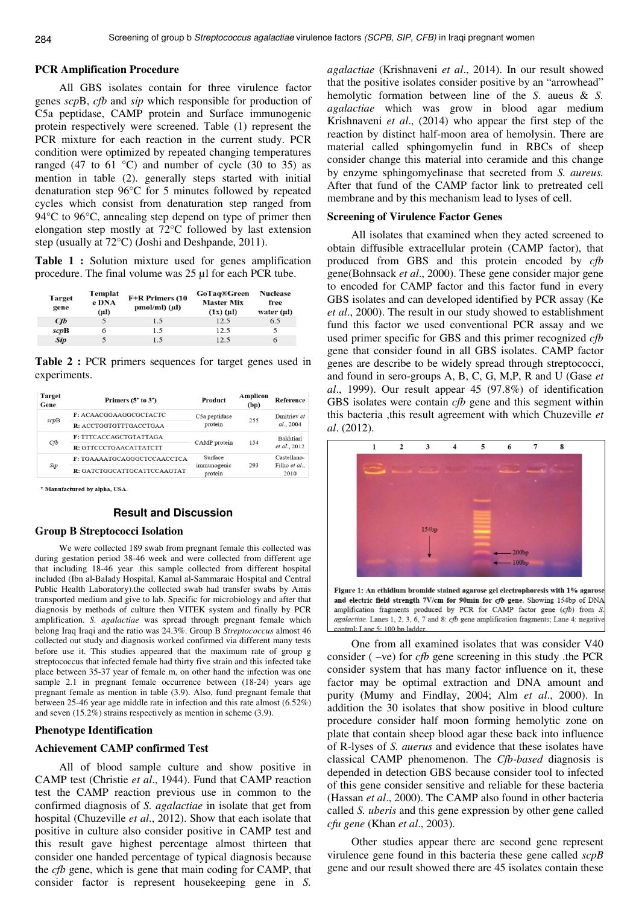### **PCR Amplification Procedure**

All GBS isolates contain for three virulence factor genes *scp*B, *cfb* and *sip* which responsible for production of C5a peptidase, CAMP protein and Surface immunogenic protein respectively were screened. Table (1) represent the PCR mixture for each reaction in the current study. PCR condition were optimized by repeated changing temperatures ranged (47 to 61  $^{\circ}$ C) and number of cycle (30 to 35) as mention in table (2). generally steps started with initial denaturation step 96°C for 5 minutes followed by repeated cycles which consist from denaturation step ranged from 94°C to 96°C, annealing step depend on type of primer then elongation step mostly at 72°C followed by last extension step (usually at 72°C) (Joshi and Deshpande, 2011).

**Table 1 :** Solution mixture used for genes amplification procedure. The final volume was 25 µl for each PCR tube.

| <b>Target</b><br>gene | Templat<br>e DNA<br>$(\mu l)$ | F+R Primers (10<br>$pmol/ml$ ( $\mu$ I) | <b>GoTaq®Green</b><br><b>Master Mix</b><br>$(1x)$ $(\mu l)$ | <b>Nuclease</b><br>free<br>water $(\mu\mathbf{l})$ |
|-----------------------|-------------------------------|-----------------------------------------|-------------------------------------------------------------|----------------------------------------------------|
| Cfb                   |                               | 1.5                                     | 12.5                                                        | 6.5                                                |
| scpB                  |                               | 1.5                                     | 12.5                                                        |                                                    |
| <b>Sip</b>            |                               | 1.5                                     | 12.5                                                        | 6                                                  |

**Table 2 :** PCR primers sequences for target genes used in experiments.

|  | Target<br>Gene | Primers $(5'$ to $3')$      | Product                | Amplicon<br>(bp) | Reference                |
|--|----------------|-----------------------------|------------------------|------------------|--------------------------|
|  | scpB           | F: ACAACGGAAGGCGCTACTC      | C5a peptidase          | 255              | Dmitriev et<br>al., 2004 |
|  |                | R: ACCTGGTGTTTGACCTGAA      | protein                |                  |                          |
|  | Cfb            | F: TTTCACCAGCTGTATTAGA      |                        | 154              | <b>Bakhtiari</b>         |
|  |                | R: GTTCCCTGAACATTATCTT      | CAMP protein           |                  | et al., 2012             |
|  |                | F: TGAAAATGCAGGGCTCCAACCTCA | Surface                | 293              | Castellano-              |
|  | Sip            | R: GATCTGGCATTGCATTCCAAGTAT | immunogenic<br>protein |                  | Filho et al.,<br>2010    |

\* Manufactured by alpha, USA.

### **Result and Discussion**

### **Group B Streptococci Isolation**

We were collected 189 swab from pregnant female this collected was during gestation period 38-46 week and were collected from different age that including 18-46 year .this sample collected from different hospital included (Ibn al-Balady Hospital, Kamal al-Sammaraie Hospital and Central Public Health Laboratory).the collected swab had transfer swabs by Amis transported medium and give to lab. Specific for microbiology and after that diagnosis by methods of culture then VITEK system and finally by PCR amplification. *S. agalactiae* was spread through pregnant female which belong Iraq Iraqi and the ratio was 24.3%. Group B *Streptococcus* almost 46 collected out study and diagnosis worked confirmed via different many tests before use it. This studies appeared that the maximum rate of group g streptococcus that infected female had thirty five strain and this infected take place between 35-37 year of female m, on other hand the infection was one sample 2.1 in pregnant female occurrence between (18-24) years age pregnant female as mention in table (3.9). Also, fund pregnant female that between 25-46 year age middle rate in infection and this rate almost (6.52%) and seven (15.2%) strains respectively as mention in scheme (3.9).

#### **Phenotype Identification**

### **Achievement CAMP confirmed Test**

All of blood sample culture and show positive in CAMP test (Christie *et al*., 1944). Fund that CAMP reaction test the CAMP reaction previous use in common to the confirmed diagnosis of *S. agalactiae* in isolate that get from hospital (Chuzeville *et al*., 2012). Show that each isolate that positive in culture also consider positive in CAMP test and this result gave highest percentage almost thirteen that consider one handed percentage of typical diagnosis because the *cfb* gene, which is gene that main coding for CAMP, that consider factor is represent housekeeping gene in *S.* 

*agalactiae* (Krishnaveni *et al*., 2014). In our result showed that the positive isolates consider positive by an "arrowhead" hemolytic formation between line of the *S*. aueus & *S. agalactiae* which was grow in blood agar medium Krishnaveni *et al*., (2014) who appear the first step of the reaction by distinct half-moon area of hemolysin. There are material called sphingomyelin fund in RBCs of sheep consider change this material into ceramide and this change by enzyme sphingomyelinase that secreted from *S. aureus.*  After that fund of the CAMP factor link to pretreated cell membrane and by this mechanism lead to lyses of cell.

### **Screening of Virulence Factor Genes**

All isolates that examined when they acted screened to obtain diffusible extracellular protein (CAMP factor), that produced from GBS and this protein encoded by *cfb*  gene(Bohnsack *et al*., 2000). These gene consider major gene to encoded for CAMP factor and this factor fund in every GBS isolates and can developed identified by PCR assay (Ke *et al*., 2000). The result in our study showed to establishment fund this factor we used conventional PCR assay and we used primer specific for GBS and this primer recognized *cfb* gene that consider found in all GBS isolates. CAMP factor genes are describe to be widely spread through streptococci, and found in sero-groups A, B, C, G, M,P, R and U (Gase *et al*., 1999). Our result appear 45 (97.8%) of identification GBS isolates were contain *cfb* gene and this segment within this bacteria ,this result agreement with which Chuzeville *et al*. (2012).



Figure 1: An ethidium bromide stained agarose gel electrophoresis with 1% agarose and electric field strength 7V/cm for 90min for cfb gene. Showing 154bp of DNA amplification fragments produced by PCR for CAMP factor gene (cfb) from S agalactiae. Lanes 1, 2, 3, 6, 7 and 8: cfb gene amplification fragments; Lane 4: negative control: Lane 5: 100 bp ladder

One from all examined isolates that was consider V40 consider ( –ve) for *cfb* gene screening in this study .the PCR consider system that has many factor influence on it, these factor may be optimal extraction and DNA amount and purity (Mumy and Findlay, 2004; Alm *et al*., 2000). In addition the 30 isolates that show positive in blood culture procedure consider half moon forming hemolytic zone on plate that contain sheep blood agar these back into influence of R-lyses of *S. auerus* and evidence that these isolates have classical CAMP phenomenon. The *Cfb-based* diagnosis is depended in detection GBS because consider tool to infected of this gene consider sensitive and reliable for these bacteria (Hassan *et al*., 2000). The CAMP also found in other bacteria called *S. uberis* and this gene expression by other gene called *cfu gene* (Khan *et al*., 2003).

Other studies appear there are second gene represent virulence gene found in this bacteria these gene called *scpB* gene and our result showed there are 45 isolates contain these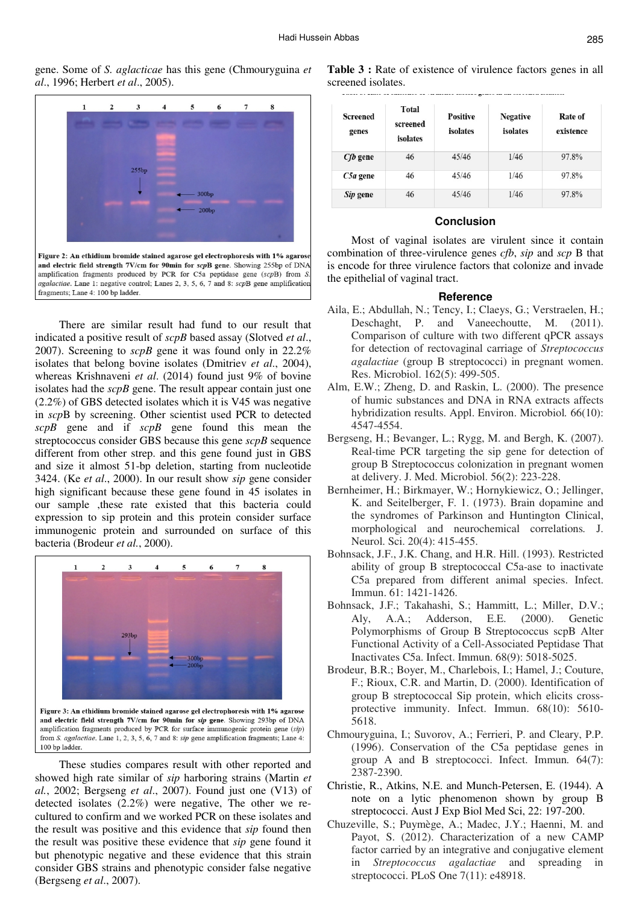gene. Some of *S. aglacticae* has this gene (Chmouryguina *et al*., 1996; Herbert *et al*., 2005).



fragments: Lane 4: 100 bp ladder.

There are similar result had fund to our result that indicated a positive result of *scpB* based assay (Slotved *et al*., 2007). Screening to *scpB* gene it was found only in 22.2% isolates that belong bovine isolates (Dmitriev *et al*., 2004), whereas Krishnaveni *et al*. (2014) found just 9% of bovine isolates had the *scpB* gene. The result appear contain just one (2.2%) of GBS detected isolates which it is V45 was negative in *scp*B by screening. Other scientist used PCR to detected *scpB* gene and if *scpB* gene found this mean the streptococcus consider GBS because this gene *scpB* sequence different from other strep. and this gene found just in GBS and size it almost 51-bp deletion, starting from nucleotide 3424. (Ke *et al*., 2000). In our result show *sip* gene consider high significant because these gene found in 45 isolates in our sample , these rate existed that this bacteria could expression to sip protein and this protein consider surface immunogenic protein and surrounded on surface of this bacteria (Brodeur *et al.*, 2000).



These studies compares result with other reported and showed high rate similar of *sip* harboring strains (Martin *et al.*, 2002; Bergseng *et al*., 2007). Found just one (V13) of detected isolates (2.2%) were negative, The other we recultured to confirm and we worked PCR on these isolates and the result was positive and this evidence that *sip* found then the result was positive these evidence that *sip* gene found it but phenotypic negative and these evidence that this strain consider GBS strains and phenotypic consider false negative (Bergseng *et al*., 2007).

**Table 3 :** Rate of existence of virulence factors genes in all screened isolates.

| <b>Screened</b><br>genes | Total<br>screened<br>isolates | <b>Positive</b><br>isolates | <b>Negative</b><br>isolates | Rate of<br>existence |
|--------------------------|-------------------------------|-----------------------------|-----------------------------|----------------------|
| <i>Cfb</i> gene          | 46                            | 45/46                       | 1/46                        | 97.8%                |
| $C5a$ gene               | 46                            | 45/46                       | 1/46                        | 97.8%                |
| Sip gene                 | 46                            | 45/46                       | 1/46                        | 97.8%                |

#### **Conclusion**

Most of vaginal isolates are virulent since it contain combination of three-virulence genes *cfb*, *sip* and *scp* B that is encode for three virulence factors that colonize and invade the epithelial of vaginal tract.

#### **Reference**

- Aila, E.; Abdullah, N.; Tency, I.; Claeys, G.; Verstraelen, H.; Deschaght, P. and Vaneechoutte, M. (2011). Comparison of culture with two different qPCR assays for detection of rectovaginal carriage of *Streptococcus agalactiae* (group B streptococci) in pregnant women. Res. Microbiol. 162(5): 499-505.
- Alm, E.W.; Zheng, D. and Raskin, L. (2000). The presence of humic substances and DNA in RNA extracts affects hybridization results. Appl. Environ. Microbiol*.* 66(10): 4547-4554.
- Bergseng, H.; Bevanger, L.; Rygg, M. and Bergh, K. (2007). Real-time PCR targeting the sip gene for detection of group B Streptococcus colonization in pregnant women at delivery. J. Med. Microbiol. 56(2): 223-228.
- Bernheimer, H.; Birkmayer, W.; Hornykiewicz, O.; Jellinger, K. and Seitelberger, F. 1. (1973). Brain dopamine and the syndromes of Parkinson and Huntington Clinical, morphological and neurochemical correlations*.* J. Neurol. Sci. 20(4): 415-455.
- Bohnsack, J.F., J.K. Chang, and H.R. Hill. (1993). Restricted ability of group B streptococcal C5a-ase to inactivate C5a prepared from different animal species. Infect. Immun. 61: 1421-1426.
- Bohnsack, J.F.; Takahashi, S.; Hammitt, L.; Miller, D.V.; Aly, A.A.; Adderson, E.E. (2000). Genetic Polymorphisms of Group B Streptococcus scpB Alter Functional Activity of a Cell-Associated Peptidase That Inactivates C5a. Infect. Immun. 68(9): 5018-5025.
- Brodeur, B.R.; Boyer, M., Charlebois, I.; Hamel, J.; Couture, F.; Rioux, C.R. and Martin, D. (2000). Identification of group B streptococcal Sip protein, which elicits crossprotective immunity. Infect. Immun. 68(10): 5610- 5618.
- Chmouryguina, I.; Suvorov, A.; Ferrieri, P. and Cleary, P.P. (1996). Conservation of the C5a peptidase genes in group A and B streptococci. Infect. Immun*.* 64(7): 2387-2390.
- Christie, R., Atkins, N.E. and Munch-Petersen, E. (1944). A note on a lytic phenomenon shown by group B streptococci. Aust J Exp Biol Med Sci, 22: 197-200.
- Chuzeville, S.; Puymège, A.; Madec, J.Y.; Haenni, M. and Payot, S. (2012). Characterization of a new CAMP factor carried by an integrative and conjugative element in *Streptococcus agalactiae* and spreading in streptococci. PLoS One 7(11): e48918.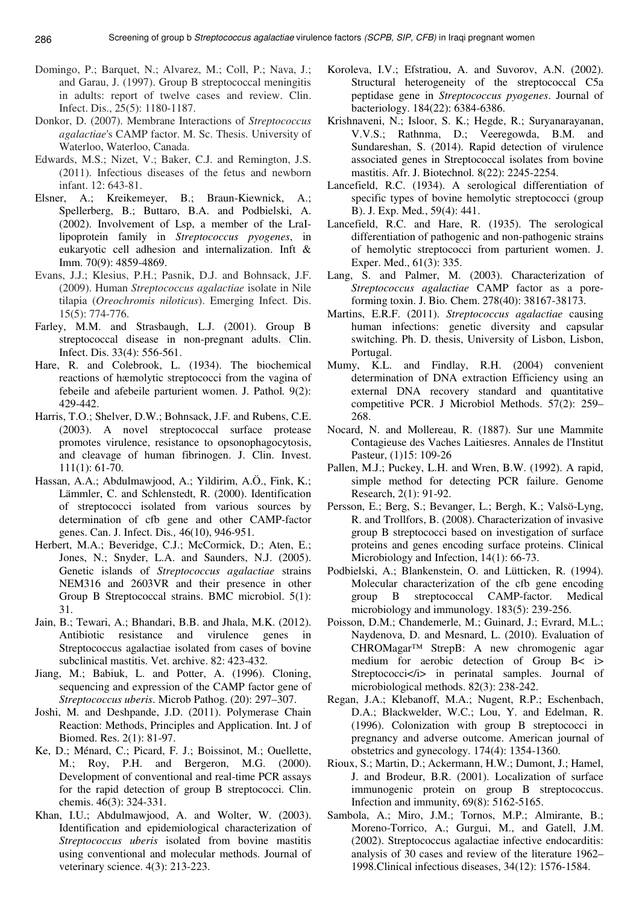- Domingo, P.; Barquet, N.; Alvarez, M.; Coll, P.; Nava, J.; and Garau, J. (1997). Group B streptococcal meningitis in adults: report of twelve cases and review. Clin. Infect. Dis., 25(5): 1180-1187.
- Donkor, D. (2007). Membrane Interactions of *Streptococcus agalactiae*'s CAMP factor. M. Sc. Thesis. University of Waterloo, Waterloo, Canada.
- Edwards, M.S.; Nizet, V.; Baker, C.J. and Remington, J.S. (2011). Infectious diseases of the fetus and newborn infant. 12: 643-81.
- Elsner, A.; Kreikemeyer, B.; Braun-Kiewnick, A.; Spellerberg, B.; Buttaro, B.A. and Podbielski, A. (2002). Involvement of Lsp, a member of the LraIlipoprotein family in *Streptococcus pyogenes*, in eukaryotic cell adhesion and internalization. Inft & Imm. 70(9): 4859-4869.
- Evans, J.J.; Klesius, P.H.; Pasnik, D.J. and Bohnsack, J.F. (2009). Human *Streptococcus agalactiae* isolate in Nile tilapia (*Oreochromis niloticus*). Emerging Infect. Dis. 15(5): 774-776.
- Farley, M.M. and Strasbaugh, L.J. (2001). Group B streptococcal disease in non-pregnant adults. Clin. Infect. Dis. 33(4): 556-561.
- Hare, R. and Colebrook, L. (1934). The biochemical reactions of hæmolytic streptococci from the vagina of febeile and afebeile parturient women. J. Pathol*.* 9(2): 429-442.
- Harris, T.O.; Shelver, D.W.; Bohnsack, J.F. and Rubens, C.E. (2003). A novel streptococcal surface protease promotes virulence, resistance to opsonophagocytosis, and cleavage of human fibrinogen. J. Clin. Invest. 111(1): 61-70.
- Hassan, A.A.; Abdulmawjood, A.; Yildirim, A.Ö., Fink, K.; Lämmler, C. and Schlenstedt, R. (2000). Identification of streptococci isolated from various sources by determination of cfb gene and other CAMP-factor genes. Can. J. Infect. Dis*.,* 46(10), 946-951.
- Herbert, M.A.; Beveridge, C.J.; McCormick, D.; Aten, E.; Jones, N.; Snyder, L.A. and Saunders, N.J. (2005). Genetic islands of *Streptococcus agalactiae* strains NEM316 and 2603VR and their presence in other Group B Streptococcal strains. BMC microbiol. 5(1): 31.
- Jain, B.; Tewari, A.; Bhandari, B.B. and Jhala, M.K. (2012). Antibiotic resistance and virulence genes in Streptococcus agalactiae isolated from cases of bovine subclinical mastitis. Vet. archive. 82: 423-432.
- Jiang, M.; Babiuk, L. and Potter, A. (1996). Cloning, sequencing and expression of the CAMP factor gene of *Streptococcus uberis*. Microb Pathog. (20): 297–307.
- Joshi, M. and Deshpande, J.D. (2011). Polymerase Chain Reaction: Methods, Principles and Application. Int. J of Biomed. Res. 2(1): 81-97.
- Ke, D.; Ménard, C.; Picard, F. J.; Boissinot, M.; Ouellette, M.; Roy, P.H. and Bergeron, M.G. (2000). Development of conventional and real-time PCR assays for the rapid detection of group B streptococci. Clin. chemis. 46(3): 324-331.
- Khan, I.U.; Abdulmawjood, A. and Wolter, W. (2003). Identification and epidemiological characterization of *Streptococcus uberis* isolated from bovine mastitis using conventional and molecular methods. Journal of veterinary science. 4(3): 213-223.
- Koroleva, I.V.; Efstratiou, A. and Suvorov, A.N. (2002). Structural heterogeneity of the streptococcal C5a peptidase gene in *Streptococcus pyogenes*. Journal of bacteriology. 184(22): 6384-6386.
- Krishnaveni, N.; Isloor, S. K.; Hegde, R.; Suryanarayanan, V.V.S.; Rathnma, D.; Veeregowda, B.M. and Sundareshan, S. (2014). Rapid detection of virulence associated genes in Streptococcal isolates from bovine mastitis. Afr. J. Biotechnol*.* 8(22): 2245-2254.
- Lancefield, R.C. (1934). A serological differentiation of specific types of bovine hemolytic streptococci (group B). J. Exp. Med*.*, 59(4): 441.
- Lancefield, R.C. and Hare, R. (1935). The serological differentiation of pathogenic and non-pathogenic strains of hemolytic streptococci from parturient women. J. Exper. Med., 61(3): 335.
- Lang, S. and Palmer, M. (2003). Characterization of *Streptococcus agalactiae* CAMP factor as a poreforming toxin. J. Bio. Chem. 278(40): 38167-38173.
- Martins, E.R.F. (2011). *Streptococcus agalactiae* causing human infections: genetic diversity and capsular switching. Ph. D. thesis, University of Lisbon, Lisbon, Portugal.
- Mumy, K.L. and Findlay, R.H. (2004) convenient determination of DNA extraction Efficiency using an external DNA recovery standard and quantitative competitive PCR. J Microbiol Methods. 57(2): 259– 268.
- Nocard, N. and Mollereau, R. (1887). Sur une Mammite Contagieuse des Vaches Laitiesres. Annales de l'Institut Pasteur, (1)15: 109-26
- Pallen, M.J.; Puckey, L.H. and Wren, B.W. (1992). A rapid, simple method for detecting PCR failure. Genome Research, 2(1): 91-92.
- Persson, E.; Berg, S.; Bevanger, L.; Bergh, K.; Valsö-Lyng, R. and Trollfors, B. (2008). Characterization of invasive group B streptococci based on investigation of surface proteins and genes encoding surface proteins. Clinical Microbiology and Infection, 14(1): 66-73.
- Podbielski, A.; Blankenstein, O. and Lütticken, R. (1994). Molecular characterization of the cfb gene encoding group B streptococcal CAMP-factor. Medical microbiology and immunology. 183(5): 239-256.
- Poisson, D.M.; Chandemerle, M.; Guinard, J.; Evrard, M.L.; Naydenova, D. and Mesnard, L. (2010). Evaluation of CHROMagar™ StrepB: A new chromogenic agar medium for aerobic detection of Group B< i> Streptococci</i> in perinatal samples. Journal of microbiological methods. 82(3): 238-242.
- Regan, J.A.; Klebanoff, M.A.; Nugent, R.P.; Eschenbach, D.A.; Blackwelder, W.C.; Lou, Y. and Edelman, R. (1996). Colonization with group B streptococci in pregnancy and adverse outcome. American journal of obstetrics and gynecology. 174(4): 1354-1360.
- Rioux, S.; Martin, D.; Ackermann, H.W.; Dumont, J.; Hamel, J. and Brodeur, B.R. (2001). Localization of surface immunogenic protein on group B streptococcus. Infection and immunity, 69(8): 5162-5165.
- Sambola, A.; Miro, J.M.; Tornos, M.P.; Almirante, B.; Moreno-Torrico, A.; Gurgui, M., and Gatell, J.M. (2002). Streptococcus agalactiae infective endocarditis: analysis of 30 cases and review of the literature 1962– 1998.Clinical infectious diseases, 34(12): 1576-1584.